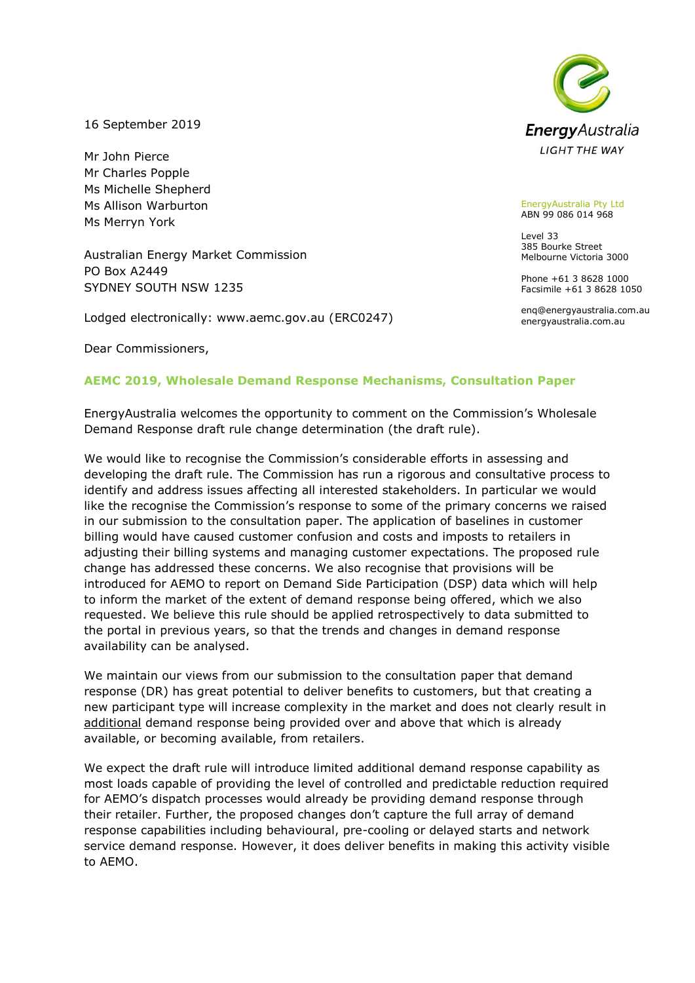16 September 2019

Mr John Pierce Mr Charles Popple Ms Michelle Shepherd Ms Allison Warburton Ms Merryn York

Australian Energy Market Commission PO Box A2449 SYDNEY SOUTH NSW 1235

Lodged electronically: www.aemc.gov.au (ERC0247)

Dear Commissioners,

## **AEMC 2019, Wholesale Demand Response Mechanisms, Consultation Paper**

EnergyAustralia welcomes the opportunity to comment on the Commission's Wholesale Demand Response draft rule change determination (the draft rule).

We would like to recognise the Commission's considerable efforts in assessing and developing the draft rule. The Commission has run a rigorous and consultative process to identify and address issues affecting all interested stakeholders. In particular we would like the recognise the Commission's response to some of the primary concerns we raised in our submission to the consultation paper. The application of baselines in customer billing would have caused customer confusion and costs and imposts to retailers in adjusting their billing systems and managing customer expectations. The proposed rule change has addressed these concerns. We also recognise that provisions will be introduced for AEMO to report on Demand Side Participation (DSP) data which will help to inform the market of the extent of demand response being offered, which we also requested. We believe this rule should be applied retrospectively to data submitted to the portal in previous years, so that the trends and changes in demand response availability can be analysed.

We maintain our views from our submission to the consultation paper that demand response (DR) has great potential to deliver benefits to customers, but that creating a new participant type will increase complexity in the market and does not clearly result in additional demand response being provided over and above that which is already available, or becoming available, from retailers.

We expect the draft rule will introduce limited additional demand response capability as most loads capable of providing the level of controlled and predictable reduction required for AEMO's dispatch processes would already be providing demand response through their retailer. Further, the proposed changes don't capture the full array of demand response capabilities including behavioural, pre-cooling or delayed starts and network service demand response. However, it does deliver benefits in making this activity visible to AEMO.



EnergyAustralia Pty Ltd ABN 99 086 014 968

Level 33 385 Bourke Street Melbourne Victoria 3000

Phone +61 3 8628 1000 Facsimile +61 3 8628 1050

enq@energyaustralia.com.au energyaustralia.com.au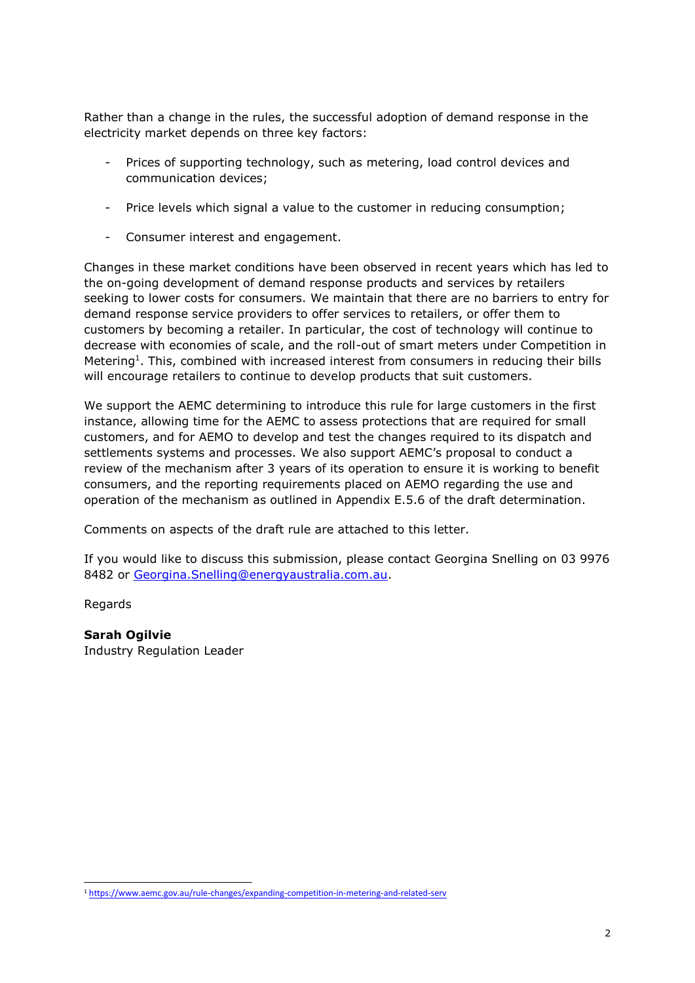Rather than a change in the rules, the successful adoption of demand response in the electricity market depends on three key factors:

- Prices of supporting technology, such as metering, load control devices and communication devices;
- Price levels which signal a value to the customer in reducing consumption;
- Consumer interest and engagement.

Changes in these market conditions have been observed in recent years which has led to the on-going development of demand response products and services by retailers seeking to lower costs for consumers. We maintain that there are no barriers to entry for demand response service providers to offer services to retailers, or offer them to customers by becoming a retailer. In particular, the cost of technology will continue to decrease with economies of scale, and the roll-out of smart meters under Competition in Metering<sup>1</sup>. This, combined with increased interest from consumers in reducing their bills will encourage retailers to continue to develop products that suit customers.

We support the AEMC determining to introduce this rule for large customers in the first instance, allowing time for the AEMC to assess protections that are required for small customers, and for AEMO to develop and test the changes required to its dispatch and settlements systems and processes. We also support AEMC's proposal to conduct a review of the mechanism after 3 years of its operation to ensure it is working to benefit consumers, and the reporting requirements placed on AEMO regarding the use and operation of the mechanism as outlined in Appendix E.5.6 of the draft determination.

Comments on aspects of the draft rule are attached to this letter.

If you would like to discuss this submission, please contact Georgina Snelling on 03 9976 8482 or [Georgina.Snelling@energyaustralia.com.au.](mailto:Georgina.Snelling@energyaustralia.com.au)

Regards

-

#### **Sarah Ogilvie**

Industry Regulation Leader

<sup>1</sup> <https://www.aemc.gov.au/rule-changes/expanding-competition-in-metering-and-related-serv>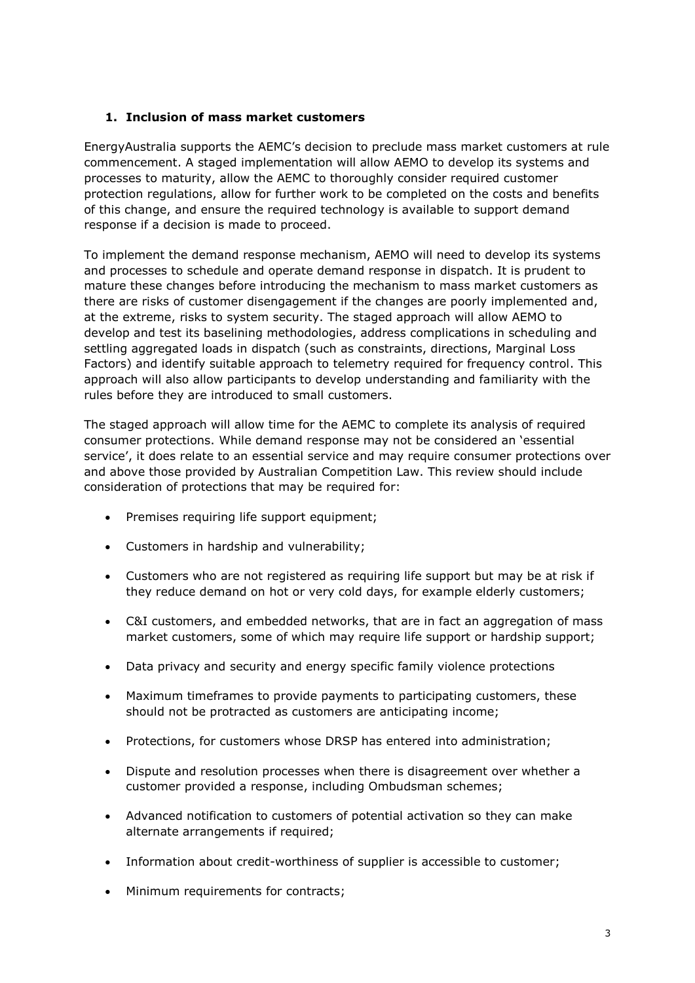# **1. Inclusion of mass market customers**

EnergyAustralia supports the AEMC's decision to preclude mass market customers at rule commencement. A staged implementation will allow AEMO to develop its systems and processes to maturity, allow the AEMC to thoroughly consider required customer protection regulations, allow for further work to be completed on the costs and benefits of this change, and ensure the required technology is available to support demand response if a decision is made to proceed.

To implement the demand response mechanism, AEMO will need to develop its systems and processes to schedule and operate demand response in dispatch. It is prudent to mature these changes before introducing the mechanism to mass market customers as there are risks of customer disengagement if the changes are poorly implemented and, at the extreme, risks to system security. The staged approach will allow AEMO to develop and test its baselining methodologies, address complications in scheduling and settling aggregated loads in dispatch (such as constraints, directions, Marginal Loss Factors) and identify suitable approach to telemetry required for frequency control. This approach will also allow participants to develop understanding and familiarity with the rules before they are introduced to small customers.

The staged approach will allow time for the AEMC to complete its analysis of required consumer protections. While demand response may not be considered an 'essential service', it does relate to an essential service and may require consumer protections over and above those provided by Australian Competition Law. This review should include consideration of protections that may be required for:

- Premises requiring life support equipment;
- Customers in hardship and vulnerability;
- Customers who are not registered as requiring life support but may be at risk if they reduce demand on hot or very cold days, for example elderly customers;
- C&I customers, and embedded networks, that are in fact an aggregation of mass market customers, some of which may require life support or hardship support;
- Data privacy and security and energy specific family violence protections
- Maximum timeframes to provide payments to participating customers, these should not be protracted as customers are anticipating income;
- Protections, for customers whose DRSP has entered into administration;
- Dispute and resolution processes when there is disagreement over whether a customer provided a response, including Ombudsman schemes;
- Advanced notification to customers of potential activation so they can make alternate arrangements if required;
- Information about credit-worthiness of supplier is accessible to customer;
- Minimum requirements for contracts;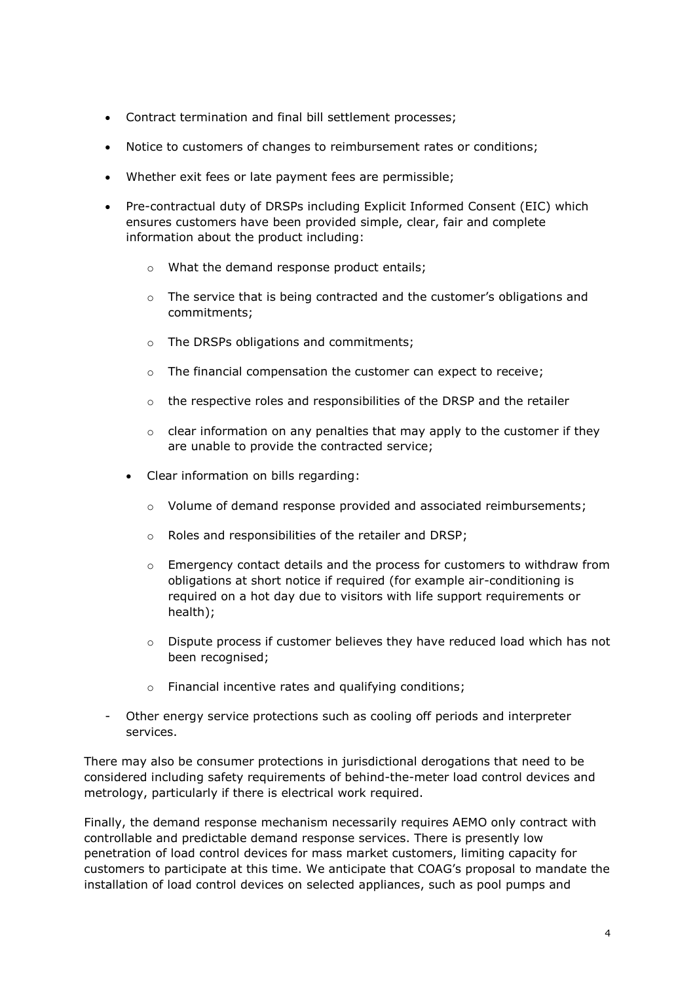- Contract termination and final bill settlement processes;
- Notice to customers of changes to reimbursement rates or conditions;
- Whether exit fees or late payment fees are permissible;
- Pre-contractual duty of DRSPs including Explicit Informed Consent (EIC) which ensures customers have been provided simple, clear, fair and complete information about the product including:
	- o What the demand response product entails;
	- $\circ$  The service that is being contracted and the customer's obligations and commitments;
	- o The DRSPs obligations and commitments;
	- o The financial compensation the customer can expect to receive;
	- o the respective roles and responsibilities of the DRSP and the retailer
	- $\circ$  clear information on any penalties that may apply to the customer if they are unable to provide the contracted service;
	- Clear information on bills regarding:
		- $\circ$  Volume of demand response provided and associated reimbursements;
		- o Roles and responsibilities of the retailer and DRSP;
		- $\circ$  Emergency contact details and the process for customers to withdraw from obligations at short notice if required (for example air-conditioning is required on a hot day due to visitors with life support requirements or health);
		- $\circ$  Dispute process if customer believes they have reduced load which has not been recognised;
		- o Financial incentive rates and qualifying conditions;
- Other energy service protections such as cooling off periods and interpreter services.

There may also be consumer protections in jurisdictional derogations that need to be considered including safety requirements of behind-the-meter load control devices and metrology, particularly if there is electrical work required.

Finally, the demand response mechanism necessarily requires AEMO only contract with controllable and predictable demand response services. There is presently low penetration of load control devices for mass market customers, limiting capacity for customers to participate at this time. We anticipate that COAG's proposal to mandate the installation of load control devices on selected appliances, such as pool pumps and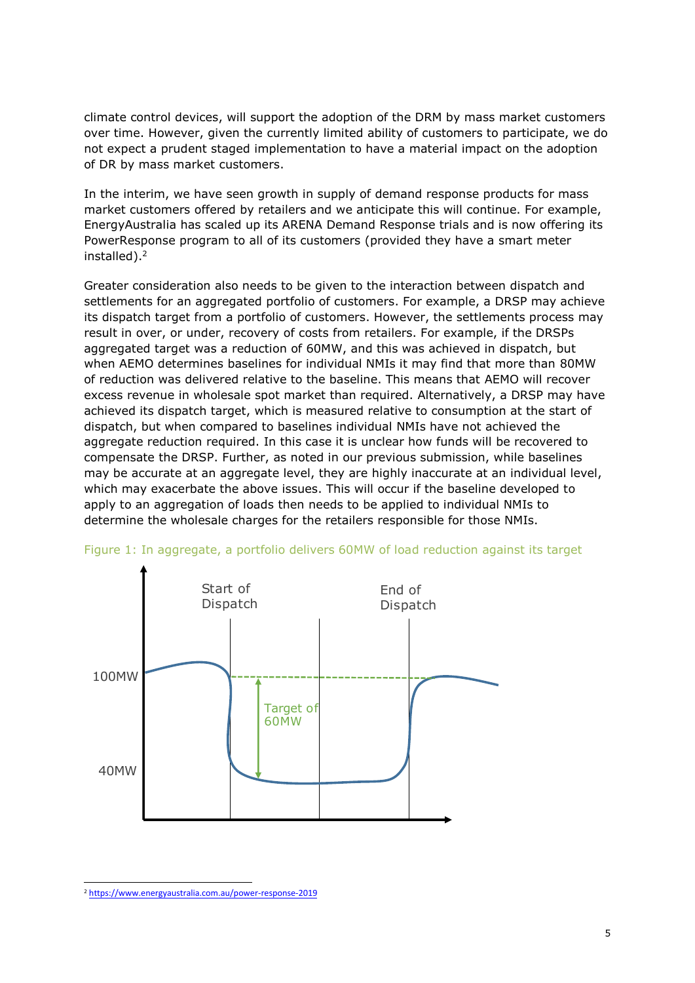climate control devices, will support the adoption of the DRM by mass market customers over time. However, given the currently limited ability of customers to participate, we do not expect a prudent staged implementation to have a material impact on the adoption of DR by mass market customers.

In the interim, we have seen growth in supply of demand response products for mass market customers offered by retailers and we anticipate this will continue. For example, EnergyAustralia has scaled up its ARENA Demand Response trials and is now offering its PowerResponse program to all of its customers (provided they have a smart meter installed). 2

Greater consideration also needs to be given to the interaction between dispatch and settlements for an aggregated portfolio of customers. For example, a DRSP may achieve its dispatch target from a portfolio of customers. However, the settlements process may result in over, or under, recovery of costs from retailers. For example, if the DRSPs aggregated target was a reduction of 60MW, and this was achieved in dispatch, but when AEMO determines baselines for individual NMIs it may find that more than 80MW of reduction was delivered relative to the baseline. This means that AEMO will recover excess revenue in wholesale spot market than required. Alternatively, a DRSP may have achieved its dispatch target, which is measured relative to consumption at the start of dispatch, but when compared to baselines individual NMIs have not achieved the aggregate reduction required. In this case it is unclear how funds will be recovered to compensate the DRSP. Further, as noted in our previous submission, while baselines may be accurate at an aggregate level, they are highly inaccurate at an individual level, which may exacerbate the above issues. This will occur if the baseline developed to apply to an aggregation of loads then needs to be applied to individual NMIs to determine the wholesale charges for the retailers responsible for those NMIs.





<sup>-</sup><sup>2</sup> <https://www.energyaustralia.com.au/power-response-2019>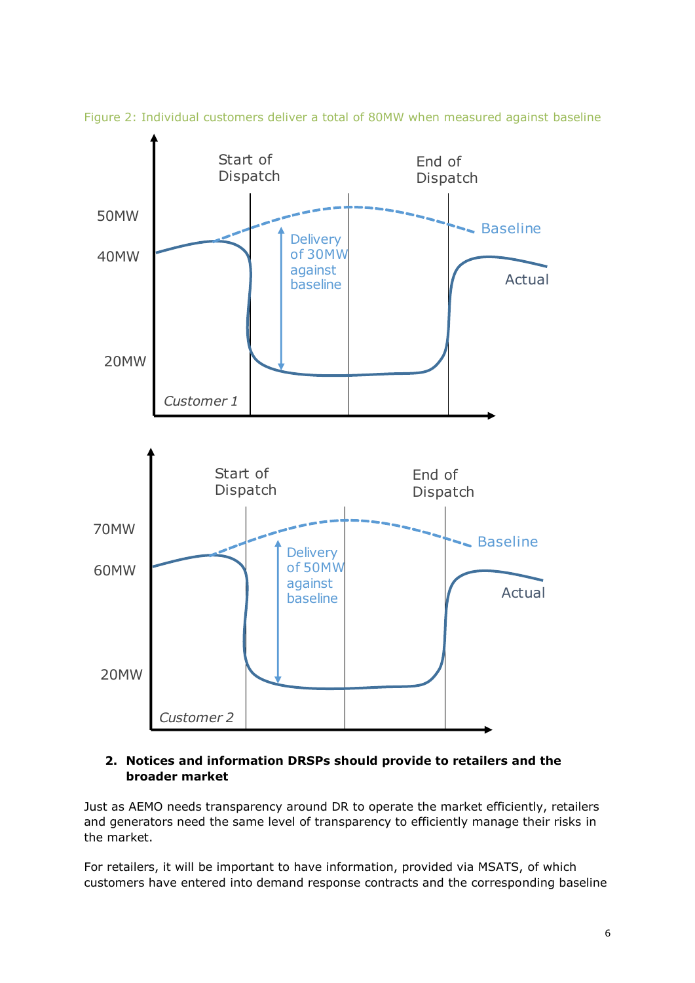

Figure 2: Individual customers deliver a total of 80MW when measured against baseline

# **2. Notices and information DRSPs should provide to retailers and the broader market**

Just as AEMO needs transparency around DR to operate the market efficiently, retailers and generators need the same level of transparency to efficiently manage their risks in the market.

For retailers, it will be important to have information, provided via MSATS, of which customers have entered into demand response contracts and the corresponding baseline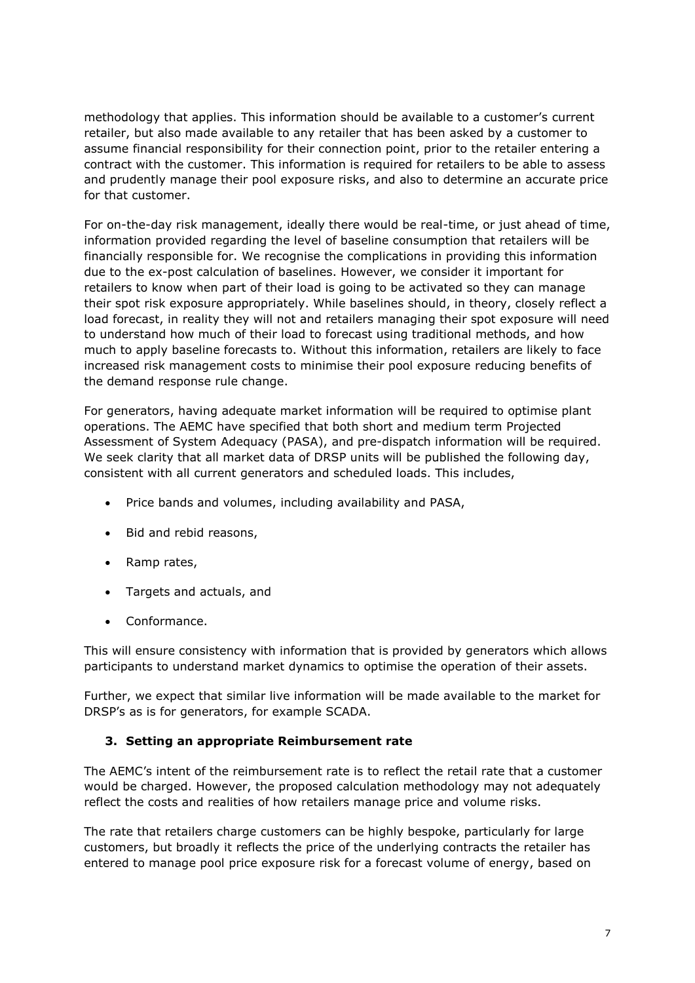methodology that applies. This information should be available to a customer's current retailer, but also made available to any retailer that has been asked by a customer to assume financial responsibility for their connection point, prior to the retailer entering a contract with the customer. This information is required for retailers to be able to assess and prudently manage their pool exposure risks, and also to determine an accurate price for that customer.

For on-the-day risk management, ideally there would be real-time, or just ahead of time, information provided regarding the level of baseline consumption that retailers will be financially responsible for. We recognise the complications in providing this information due to the ex-post calculation of baselines. However, we consider it important for retailers to know when part of their load is going to be activated so they can manage their spot risk exposure appropriately. While baselines should, in theory, closely reflect a load forecast, in reality they will not and retailers managing their spot exposure will need to understand how much of their load to forecast using traditional methods, and how much to apply baseline forecasts to. Without this information, retailers are likely to face increased risk management costs to minimise their pool exposure reducing benefits of the demand response rule change.

For generators, having adequate market information will be required to optimise plant operations. The AEMC have specified that both short and medium term Projected Assessment of System Adequacy (PASA), and pre-dispatch information will be required. We seek clarity that all market data of DRSP units will be published the following day, consistent with all current generators and scheduled loads. This includes,

- Price bands and volumes, including availability and PASA,
- Bid and rebid reasons,
- Ramp rates,
- Targets and actuals, and
- Conformance.

This will ensure consistency with information that is provided by generators which allows participants to understand market dynamics to optimise the operation of their assets.

Further, we expect that similar live information will be made available to the market for DRSP's as is for generators, for example SCADA.

## **3. Setting an appropriate Reimbursement rate**

The AEMC's intent of the reimbursement rate is to reflect the retail rate that a customer would be charged. However, the proposed calculation methodology may not adequately reflect the costs and realities of how retailers manage price and volume risks.

The rate that retailers charge customers can be highly bespoke, particularly for large customers, but broadly it reflects the price of the underlying contracts the retailer has entered to manage pool price exposure risk for a forecast volume of energy, based on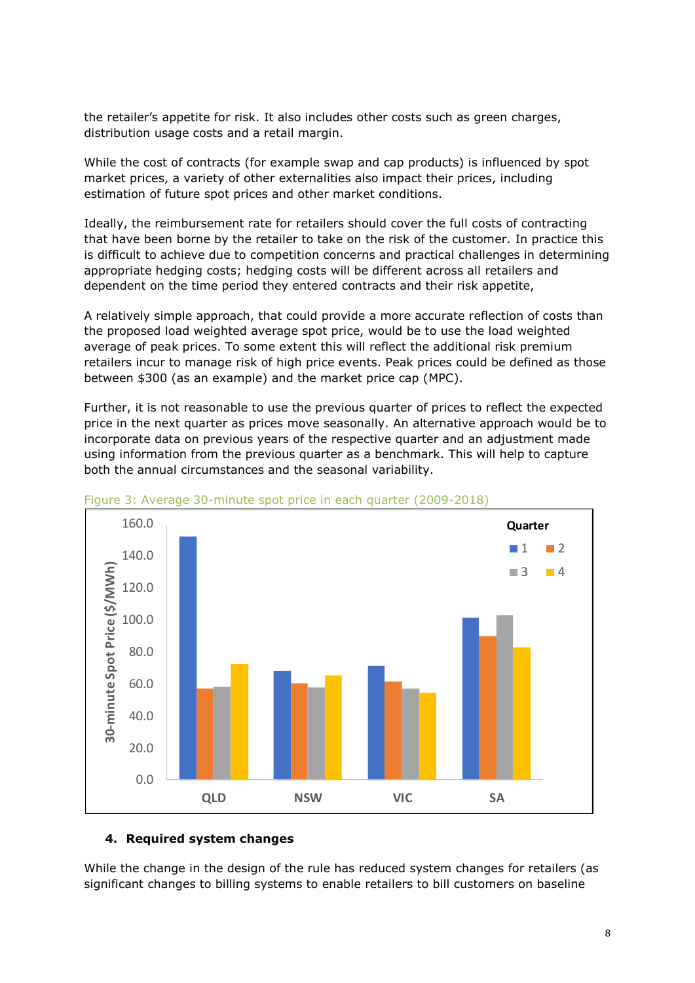the retailer's appetite for risk. It also includes other costs such as green charges, distribution usage costs and a retail margin.

While the cost of contracts (for example swap and cap products) is influenced by spot market prices, a variety of other externalities also impact their prices, including estimation of future spot prices and other market conditions.

Ideally, the reimbursement rate for retailers should cover the full costs of contracting that have been borne by the retailer to take on the risk of the customer. In practice this is difficult to achieve due to competition concerns and practical challenges in determining appropriate hedging costs; hedging costs will be different across all retailers and dependent on the time period they entered contracts and their risk appetite,

A relatively simple approach, that could provide a more accurate reflection of costs than the proposed load weighted average spot price, would be to use the load weighted average of peak prices. To some extent this will reflect the additional risk premium retailers incur to manage risk of high price events. Peak prices could be defined as those between \$300 (as an example) and the market price cap (MPC).

Further, it is not reasonable to use the previous quarter of prices to reflect the expected price in the next quarter as prices move seasonally. An alternative approach would be to incorporate data on previous years of the respective quarter and an adjustment made using information from the previous quarter as a benchmark. This will help to capture both the annual circumstances and the seasonal variability.



Figure 3: Average 30-minute spot price in each quarter (2009-2018)

#### **4. Required system changes**

While the change in the design of the rule has reduced system changes for retailers (as significant changes to billing systems to enable retailers to bill customers on baseline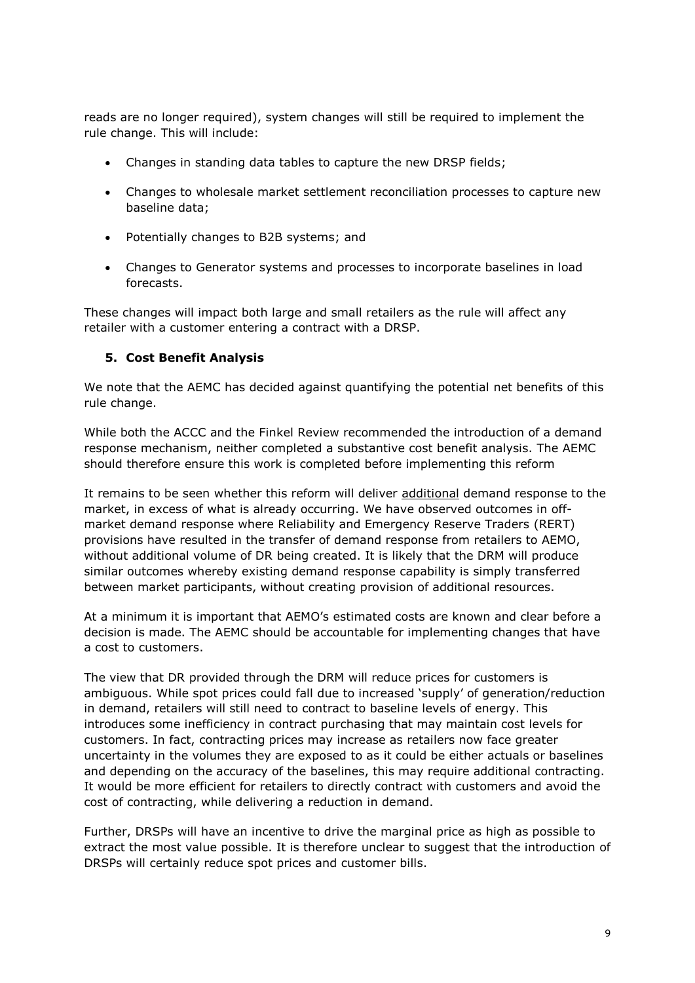reads are no longer required), system changes will still be required to implement the rule change. This will include:

- Changes in standing data tables to capture the new DRSP fields;
- Changes to wholesale market settlement reconciliation processes to capture new baseline data;
- Potentially changes to B2B systems; and
- Changes to Generator systems and processes to incorporate baselines in load forecasts.

These changes will impact both large and small retailers as the rule will affect any retailer with a customer entering a contract with a DRSP.

#### **5. Cost Benefit Analysis**

We note that the AEMC has decided against quantifying the potential net benefits of this rule change.

While both the ACCC and the Finkel Review recommended the introduction of a demand response mechanism, neither completed a substantive cost benefit analysis. The AEMC should therefore ensure this work is completed before implementing this reform

It remains to be seen whether this reform will deliver additional demand response to the market, in excess of what is already occurring. We have observed outcomes in offmarket demand response where Reliability and Emergency Reserve Traders (RERT) provisions have resulted in the transfer of demand response from retailers to AEMO, without additional volume of DR being created. It is likely that the DRM will produce similar outcomes whereby existing demand response capability is simply transferred between market participants, without creating provision of additional resources.

At a minimum it is important that AEMO's estimated costs are known and clear before a decision is made. The AEMC should be accountable for implementing changes that have a cost to customers.

The view that DR provided through the DRM will reduce prices for customers is ambiguous. While spot prices could fall due to increased 'supply' of generation/reduction in demand, retailers will still need to contract to baseline levels of energy. This introduces some inefficiency in contract purchasing that may maintain cost levels for customers. In fact, contracting prices may increase as retailers now face greater uncertainty in the volumes they are exposed to as it could be either actuals or baselines and depending on the accuracy of the baselines, this may require additional contracting. It would be more efficient for retailers to directly contract with customers and avoid the cost of contracting, while delivering a reduction in demand.

Further, DRSPs will have an incentive to drive the marginal price as high as possible to extract the most value possible. It is therefore unclear to suggest that the introduction of DRSPs will certainly reduce spot prices and customer bills.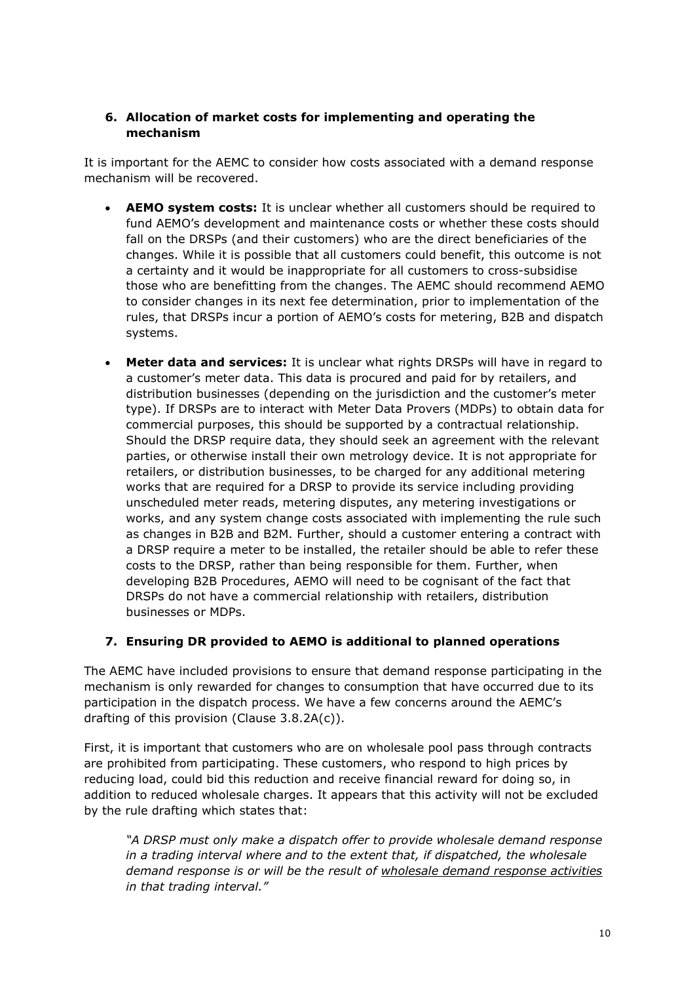# **6. Allocation of market costs for implementing and operating the mechanism**

It is important for the AEMC to consider how costs associated with a demand response mechanism will be recovered.

- **AEMO system costs:** It is unclear whether all customers should be required to fund AEMO's development and maintenance costs or whether these costs should fall on the DRSPs (and their customers) who are the direct beneficiaries of the changes. While it is possible that all customers could benefit, this outcome is not a certainty and it would be inappropriate for all customers to cross-subsidise those who are benefitting from the changes. The AEMC should recommend AEMO to consider changes in its next fee determination, prior to implementation of the rules, that DRSPs incur a portion of AEMO's costs for metering, B2B and dispatch systems.
- **Meter data and services:** It is unclear what rights DRSPs will have in regard to a customer's meter data. This data is procured and paid for by retailers, and distribution businesses (depending on the jurisdiction and the customer's meter type). If DRSPs are to interact with Meter Data Provers (MDPs) to obtain data for commercial purposes, this should be supported by a contractual relationship. Should the DRSP require data, they should seek an agreement with the relevant parties, or otherwise install their own metrology device. It is not appropriate for retailers, or distribution businesses, to be charged for any additional metering works that are required for a DRSP to provide its service including providing unscheduled meter reads, metering disputes, any metering investigations or works, and any system change costs associated with implementing the rule such as changes in B2B and B2M. Further, should a customer entering a contract with a DRSP require a meter to be installed, the retailer should be able to refer these costs to the DRSP, rather than being responsible for them. Further, when developing B2B Procedures, AEMO will need to be cognisant of the fact that DRSPs do not have a commercial relationship with retailers, distribution businesses or MDPs.

## **7. Ensuring DR provided to AEMO is additional to planned operations**

The AEMC have included provisions to ensure that demand response participating in the mechanism is only rewarded for changes to consumption that have occurred due to its participation in the dispatch process. We have a few concerns around the AEMC's drafting of this provision (Clause 3.8.2A(c)).

First, it is important that customers who are on wholesale pool pass through contracts are prohibited from participating. These customers, who respond to high prices by reducing load, could bid this reduction and receive financial reward for doing so, in addition to reduced wholesale charges. It appears that this activity will not be excluded by the rule drafting which states that:

*"A DRSP must only make a dispatch offer to provide wholesale demand response in a trading interval where and to the extent that, if dispatched, the wholesale demand response is or will be the result of wholesale demand response activities in that trading interval."*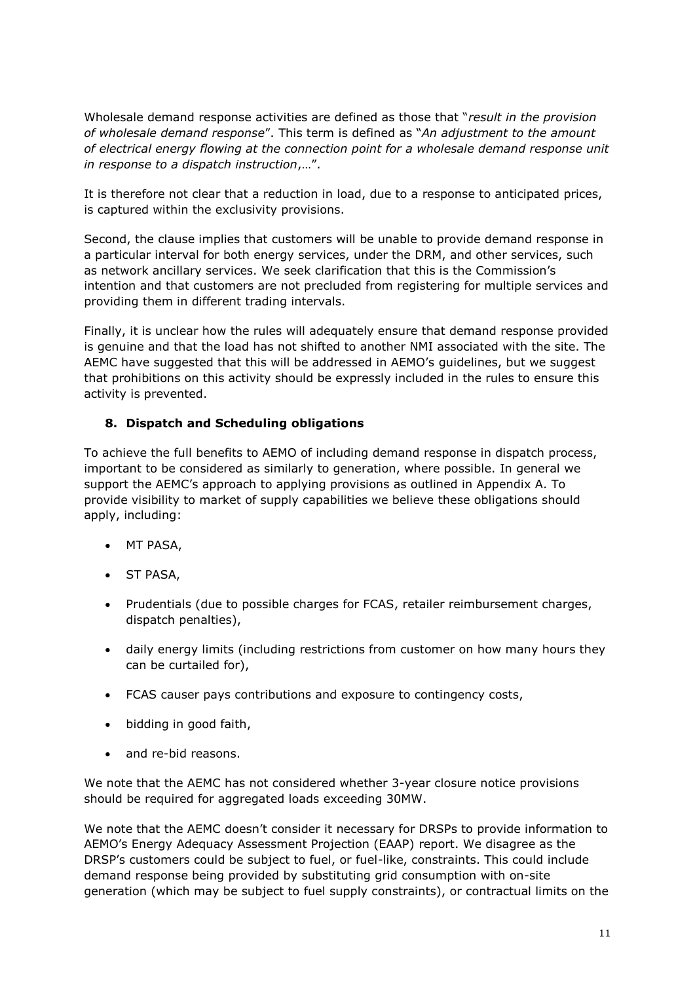Wholesale demand response activities are defined as those that "*result in the provision of wholesale demand response*". This term is defined as "*An adjustment to the amount of electrical energy flowing at the connection point for a wholesale demand response unit in response to a dispatch instruction*,…".

It is therefore not clear that a reduction in load, due to a response to anticipated prices, is captured within the exclusivity provisions.

Second, the clause implies that customers will be unable to provide demand response in a particular interval for both energy services, under the DRM, and other services, such as network ancillary services. We seek clarification that this is the Commission's intention and that customers are not precluded from registering for multiple services and providing them in different trading intervals.

Finally, it is unclear how the rules will adequately ensure that demand response provided is genuine and that the load has not shifted to another NMI associated with the site. The AEMC have suggested that this will be addressed in AEMO's guidelines, but we suggest that prohibitions on this activity should be expressly included in the rules to ensure this activity is prevented.

## **8. Dispatch and Scheduling obligations**

To achieve the full benefits to AEMO of including demand response in dispatch process, important to be considered as similarly to generation, where possible. In general we support the AEMC's approach to applying provisions as outlined in Appendix A. To provide visibility to market of supply capabilities we believe these obligations should apply, including:

- MT PASA,
- ST PASA,
- Prudentials (due to possible charges for FCAS, retailer reimbursement charges, dispatch penalties),
- daily energy limits (including restrictions from customer on how many hours they can be curtailed for),
- FCAS causer pays contributions and exposure to contingency costs,
- bidding in good faith,
- and re-bid reasons.

We note that the AEMC has not considered whether 3-year closure notice provisions should be required for aggregated loads exceeding 30MW.

We note that the AEMC doesn't consider it necessary for DRSPs to provide information to AEMO's Energy Adequacy Assessment Projection (EAAP) report. We disagree as the DRSP's customers could be subject to fuel, or fuel-like, constraints. This could include demand response being provided by substituting grid consumption with on-site generation (which may be subject to fuel supply constraints), or contractual limits on the